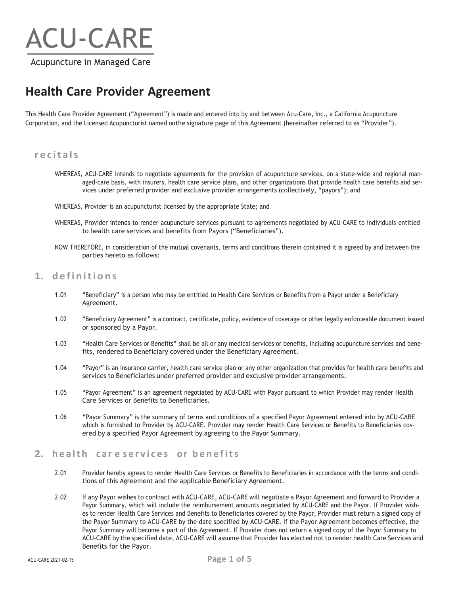# ACU-CARE

Acupuncture in Managed Care

## **Health Care Provider Agreement**

This Health Care Provider Agreement ("Agreement") is made and entered into by and between Acu-Care, Inc., a California Acupuncture Corporation, and the Licensed Acupuncturist named onthe signature page of this Agreement (hereinafter referred to as "Provider").

#### **r ecitals**

- WHEREAS, ACU-CARE intends to negotiate agreements for the provision of acupuncture services, on a state-wide and regional managed-care basis, with insurers, health care service plans, and other organizations that provide health care benefits and services under preferred provider and exclusive provider arrangements (collectively, "payors"); and
- WHEREAS, Provider is an acupuncturist licensed by the appropriate State; and
- WHEREAS, Provider intends to render acupuncture services pursuant to agreements negotiated by ACU-CARE to individuals entitled to health care services and benefits from Payors ("Beneficiaries").
- NOW THEREFORE, in consideration of the mutual covenants, terms and conditions therein contained it is agreed by and between the parties hereto as follows:

#### **1. definitions**

- 1.01 "Beneficiary" is a person who may be entitled to Health Care Services or Benefits from a Payor under a Beneficiary Agreement.
- 1.02 "Beneficiary Agreement" is a contract, certificate, policy, evidence of coverage or other legally enforceable document issued or sponsored by a Payor.
- 1.03 "Health Care Services or Benefits" shall be all or any medical services or benefits, including acupuncture services and benefits, rendered to Beneficiary covered under the Beneficiary Agreement.
- 1.04 "Payor" is an insurance carrier, health care service plan or any other organization that provides for health care benefits and services to Beneficiaries under preferred provider and exclusive provider arrangements.
- 1.05 "Payor Agreement" is an agreement negotiated by ACU-CARE with Payor pursuant to which Provider may render Health Care Services or Benefits to Beneficiaries.
- 1.06 "Payor Summary" is the summary of terms and conditions of a specified Payor Agreement entered into by ACU-CARE which is furnished to Provider by ACU-CARE. Provider may render Health Care Services or Benefits to Beneficiaries covered by a specified Payor Agreement by agreeing to the Payor Summary.

#### **2. health car e services or benefits**

- 2.01 Provider hereby agrees to render Health Care Services or Benefits to Beneficiaries in accordance with the terms and conditions of this Agreement and the applicable Beneficiary Agreement.
- 2.02 If any Payor wishes to contract with ACU-CARE, ACU-CARE will negotiate a Payor Agreement and forward to Provider a Payor Summary, which will include the reimbursement amounts negotiated by ACU-CARE and the Payor. If Provider wishes to render Health Care Services and Benefits to Beneficiaries covered by the Payor, Provider must return a signed copy of the Payor Summary to ACU-CARE by the date specified by ACU-CARE. If the Payor Agreement becomes effective, the Payor Summary will become a part of this Agreement. If Provider does not return a signed copy of the Payor Summary to ACU-CARE by the specified date, ACU-CARE will assume that Provider has elected not to render health Care Services and Benefits for the Payor.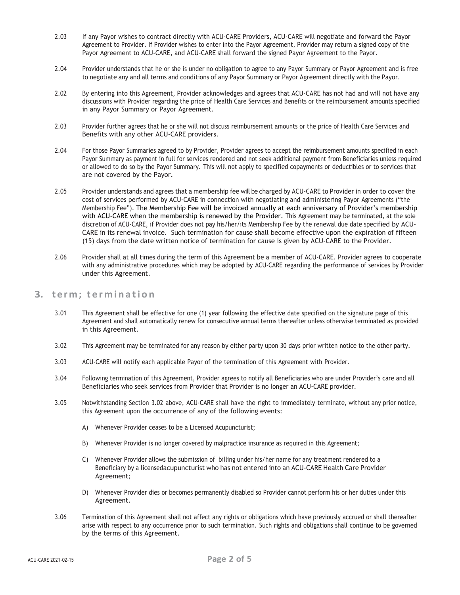- 2.03 If any Payor wishes to contract directly with ACU-CARE Providers, ACU-CARE will negotiate and forward the Payor Agreement to Provider. If Provider wishes to enter into the Payor Agreement, Provider may return a signed copy of the Payor Agreement to ACU-CARE, and ACU-CARE shall forward the signed Payor Agreement to the Payor.
- 2.04 Provider understands that he or she is under no obligation to agree to any Payor Summary or Payor Agreement and is free to negotiate any and all terms and conditions of any Payor Summary or Payor Agreement directly with the Payor.
- 2.02 By entering into this Agreement, Provider acknowledges and agrees that ACU-CARE has not had and will not have any discussions with Provider regarding the price of Health Care Services and Benefits or the reimbursement amounts specified in any Payor Summary or Payor Agreement.
- 2.03 Provider further agrees that he or she will not discuss reimbursement amounts or the price of Health Care Services and Benefits with any other ACU-CARE providers.
- 2.04 For those Payor Summaries agreed to by Provider, Provider agrees to accept the reimbursement amounts specified in each Payor Summary as payment in full for services rendered and not seek additional payment from Beneficiaries unless required or allowed to do so by the Payor Summary. This will not apply to specified copayments or deductibles or to services that are not covered by the Payor.
- 2.05 Provider understands and agrees that a membership fee will be charged by ACU-CARE to Provider in order to cover the cost of services performed by ACU-CARE in connection with negotiating and administering Payor Agreements ("the Membership Fee"). The Membership Fee will be invoiced annually at each anniversary of Provider's membership with ACU-CARE when the membership is renewed by the Provider. This Agreement may be terminated, at the sole discretion of ACU-CARE, if Provider does not pay his/her/its Membership Fee by the renewal due date specified by ACU-CARE in its renewal invoice. Such termination for cause shall become effective upon the expiration of fifteen (15) days from the date written notice of termination for cause is given by ACU-CARE to the Provider.
- 2.06 Provider shall at all times during the term of this Agreement be a member of ACU-CARE. Provider agrees to cooperate with any administrative procedures which may be adopted by ACU-CARE regarding the performance of services by Provider under this Agreement.

#### **3. term; termination**

- 3.01 This Agreement shall be effective for one (1) year following the effective date specified on the signature page of this Agreement and shall automatically renew for consecutive annual terms thereafter unless otherwise terminated as provided in this Agreement.
- 3.02 This Agreement may be terminated for any reason by either party upon 30 days prior written notice to the other party.
- 3.03 ACU-CARE will notify each applicable Payor of the termination of this Agreement with Provider.
- 3.04 Following termination of this Agreement, Provider agrees to notify all Beneficiaries who are under Provider's care and all Beneficiaries who seek services from Provider that Provider is no longer an ACU-CARE provider.
- 3.05 Notwithstanding Section 3.02 above, ACU-CARE shall have the right to immediately terminate, without any prior notice, this Agreement upon the occurrence of any of the following events:
	- A) Whenever Provider ceases to be a Licensed Acupuncturist;
	- B) Whenever Provider is no longer covered by malpractice insurance as required in this Agreement;
	- C) Whenever Provider allows the submission of billing under his/her name for any treatment rendered to a Beneficiary by a licensed acupuncturist who has not entered into an ACU-CARE Health Care Provider Agreement;
	- D) Whenever Provider dies or becomes permanently disabled so Provider cannot perform his or her duties under this Agreement.
- 3.06 Termination of this Agreement shall not affect any rights or obligations which have previously accrued or shall thereafter arise with respect to any occurrence prior to such termination. Such rights and obligations shall continue to be governed by the terms of this Agreement.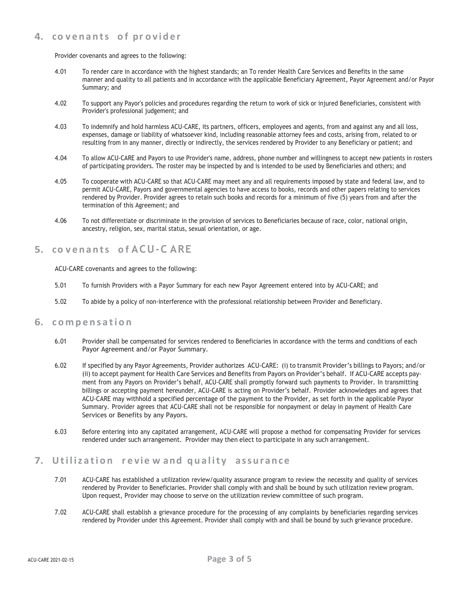#### **4. co v enants o f pr o vider**

Provider covenants and agrees to the following:

- 4.01 To render care in accordance with the highest standards; an To render Health Care Services and Benefits in the same manner and quality to all patients and in accordance with the applicable Beneficiary Agreement, Payor Agreement and/or Payor Summary; and
- 4.02 To support any Payor's policies and procedures regarding the return to work of sick or injured Beneficiaries, consistent with Provider's professional judgement; and
- 4.03 To indemnify and hold harmless ACU-CARE, its partners, officers, employees and agents, from and against any and all loss, expenses, damage or liability of whatsoever kind, including reasonable attorney fees and costs, arising from, related to or resulting from in any manner, directly or indirectly, the services rendered by Provider to any Beneficiary or patient; and
- 4.04 To allow ACU-CARE and Payors to use Provider's name, address, phone number and willingness to accept new patients in rosters of participating providers. The roster may be inspected by and is intended to be used by Beneficiaries and others; and
- 4.05 To cooperate with ACU-CARE so that ACU-CARE may meet any and all requirements imposed by state and federal law, and to permit ACU-CARE, Payors and governmental agencies to have access to books, records and other papers relating to services rendered by Provider. Provider agrees to retain such books and records for a minimum of five (5) years from and after the termination of this Agreement; and
- 4.06 To not differentiate or discriminate in the provision of services to Beneficiaries because of race, color, national origin, ancestry, religion, sex, marital status, sexual orientation, or age.

### **5. co v enants o f ACU-C ARE**

ACU-CARE covenants and agrees to the following:

- 5.01 To furnish Providers with a Payor Summary for each new Payor Agreement entered into by ACU-CARE; and
- 5.02 To abide by a policy of non-interference with the professional relationship between Provider and Beneficiary.

#### **6. compensation**

- 6.01 Provider shall be compensated for services rendered to Beneficiaries in accordance with the terms and conditions of each Payor Agreement and/or Payor Summary.
- 6.02 If specified by any Payor Agreements, Provider authorizes ACU-CARE: (i) to transmit Provider's billings to Payors; and/or (ii) to accept payment for Health Care Services and Benefits from Payors on Provider's behalf. If ACU-CARE accepts payment from any Payors on Provider's behalf, ACU-CARE shall promptly forward such payments to Provider. In transmitting billings or accepting payment hereunder, ACU-CARE is acting on Provider's behalf. Provider acknowledges and agrees that ACU-CARE may withhold a specified percentage of the payment to the Provider, as set forth in the applicable Payor Summary. Provider agrees that ACU-CARE shall not be responsible for nonpayment or delay in payment of Health Care Services or Benefits by any Payors.
- 6.03 Before entering into any capitated arrangement, ACU-CARE will propose a method for compensating Provider for services rendered under such arrangement. Provider may then elect to participate in any such arrangement.

#### **7. Utilization r e vie w and quality assurance**

- 7.01 ACU-CARE has established a utilization review/quality assurance program to review the necessity and quality of services rendered by Provider to Beneficiaries. Provider shall comply with and shall be bound by such utilization review program. Upon request, Provider may choose to serve on the utilization review committee of such program.
- 7.02 ACU-CARE shall establish a grievance procedure for the processing of any complaints by beneficiaries regarding services rendered by Provider under this Agreement. Provider shall comply with and shall be bound by such grievance procedure.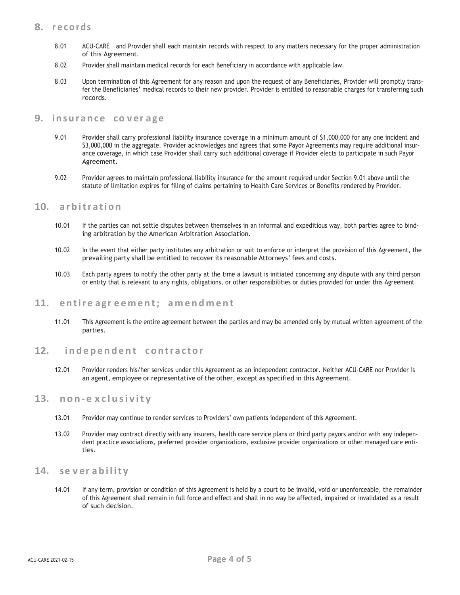#### **8. r ecords**

- 8.01 ACU-CARE and Provider shall each maintain records with respect to any matters necessary for the proper administration of this Agreement.
- 8.02 Provider shall maintain medical records for each Beneficiary in accordance with applicable law.
- 8.03 Upon termination of this Agreement for any reason and upon the request of any Beneficiaries, Provider will promptly transfer the Beneficiaries' medical records to their new provider. Provider is entitled to reasonable charges for transferring such records.

#### **9. insurance co v er age**

- 9.01 Provider shall carry professional liability insurance coverage in a minimum amount of \$1,000,000 for any one incident and \$3,000,000 in the aggregate. Provider acknowledges and agrees that some Payor Agreements may require additional insurance coverage, in which case Provider shall carry such additional coverage if Provider elects to participate in such Payor Agreement.
- 9.02 Provider agrees to maintain professional liability insurance for the amount required under Section 9.01 above until the statute of limitation expires for filing of claims pertaining to Health Care Services or Benefits rendered by Provider.

#### **10. arbitration**

- 10.01 If the parties can not settle disputes between themselves in an informal and expeditious way, both parties agree to binding arbitration by the American Arbitration Association.
- 10.02 In the event that either party institutes any arbitration or suit to enforce or interpret the provision of this Agreement, the prevailing party shall be entitled to recover its reasonable Attorneys' fees and costs.
- 10.03 Each party agrees to notify the other party at the time a lawsuit is initiated concerning any dispute with any third person or entity that is relevant to any rights, obligations, or other responsibilities or duties provided for under this Agreement

#### **11. entire agr eement; amendment**

11.01 This Agreement is the entire agreement between the parties and may be amended only by mutual written agreement of the parties.

#### **12. independent contractor**

12.01 Provider renders his/her services under this Agreement as an independent contractor. Neither ACU-CARE nor Provider is an agent, employee or representative of the other, except as specified in this Agreement.

#### **13. non‐e x clusivity**

- 13.01 Provider may continue to render services to Providers' own patients independent of this Agreement.
- 13.02 Provider may contract directly with any insurers, health care service plans or third party payors and/or with any independent practice associations, preferred provider organizations, exclusive provider organizations or other managed care entities.

#### **14. se v er ability**

14.01 If any term, provision or condition of this Agreement is held by a court to be invalid, void or unenforceable, the remainder of this Agreement shall remain in full force and effect and shall in no way be affected, impaired or invalidated as a result of such decision.